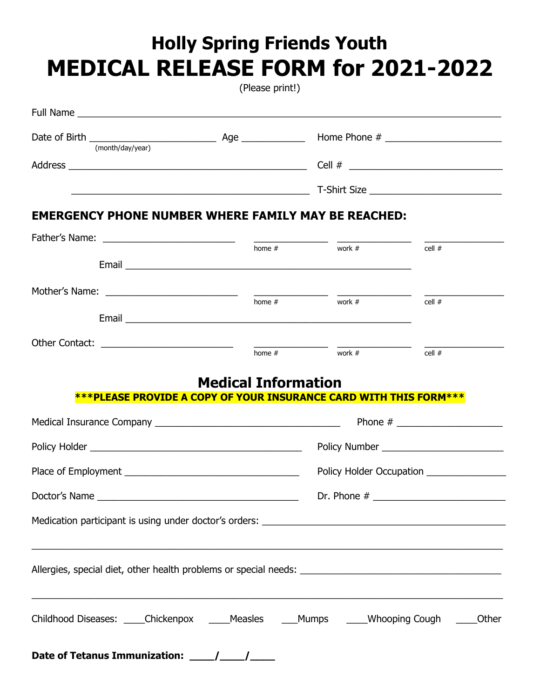# **Holly Spring Friends Youth MEDICAL RELEASE FORM for 2021-2022**

(Please print!)

| <b>EMERGENCY PHONE NUMBER WHERE FAMILY MAY BE REACHED:</b>                                |                            |                                                                                                                                                                                                                                                                                                                                                                                                                      |                                           |
|-------------------------------------------------------------------------------------------|----------------------------|----------------------------------------------------------------------------------------------------------------------------------------------------------------------------------------------------------------------------------------------------------------------------------------------------------------------------------------------------------------------------------------------------------------------|-------------------------------------------|
|                                                                                           |                            |                                                                                                                                                                                                                                                                                                                                                                                                                      |                                           |
|                                                                                           | $h$ ome #                  | $\frac{1}{\sqrt{1-\frac{1}{2}}\sqrt{1-\frac{1}{2}}\sqrt{1-\frac{1}{2}}\sqrt{1-\frac{1}{2}}\sqrt{1-\frac{1}{2}}\sqrt{1-\frac{1}{2}}\sqrt{1-\frac{1}{2}}\sqrt{1-\frac{1}{2}}\sqrt{1-\frac{1}{2}}\sqrt{1-\frac{1}{2}}\sqrt{1-\frac{1}{2}}\sqrt{1-\frac{1}{2}}\sqrt{1-\frac{1}{2}}\sqrt{1-\frac{1}{2}}\sqrt{1-\frac{1}{2}}\sqrt{1-\frac{1}{2}}\sqrt{1-\frac{1}{2}}\sqrt{1-\frac{1}{2}}\sqrt{1-\frac{1}{2}}\sqrt{1-\frac$ | cell $#$                                  |
|                                                                                           |                            |                                                                                                                                                                                                                                                                                                                                                                                                                      |                                           |
|                                                                                           |                            |                                                                                                                                                                                                                                                                                                                                                                                                                      |                                           |
|                                                                                           |                            | work $#$                                                                                                                                                                                                                                                                                                                                                                                                             | cell #                                    |
|                                                                                           |                            | $home #$ work #                                                                                                                                                                                                                                                                                                                                                                                                      |                                           |
|                                                                                           |                            |                                                                                                                                                                                                                                                                                                                                                                                                                      | cell $#$                                  |
|                                                                                           | <b>Medical Information</b> |                                                                                                                                                                                                                                                                                                                                                                                                                      |                                           |
| ***PLEASE PROVIDE A COPY OF YOUR INSURANCE CARD WITH THIS FORM***                         |                            |                                                                                                                                                                                                                                                                                                                                                                                                                      |                                           |
|                                                                                           |                            |                                                                                                                                                                                                                                                                                                                                                                                                                      |                                           |
|                                                                                           |                            |                                                                                                                                                                                                                                                                                                                                                                                                                      |                                           |
|                                                                                           |                            |                                                                                                                                                                                                                                                                                                                                                                                                                      | Policy Holder Occupation ________________ |
| Doctor's Name                                                                             | Dr. Phone #                |                                                                                                                                                                                                                                                                                                                                                                                                                      |                                           |
|                                                                                           |                            |                                                                                                                                                                                                                                                                                                                                                                                                                      |                                           |
| <u> 1989 - Johann Stoff, amerikansk politik (f. 1989)</u>                                 |                            |                                                                                                                                                                                                                                                                                                                                                                                                                      |                                           |
| Childhood Diseases: _____Chickenpox _____Measles ____Mumps _____Whooping Cough _____Other |                            |                                                                                                                                                                                                                                                                                                                                                                                                                      |                                           |
|                                                                                           |                            |                                                                                                                                                                                                                                                                                                                                                                                                                      |                                           |